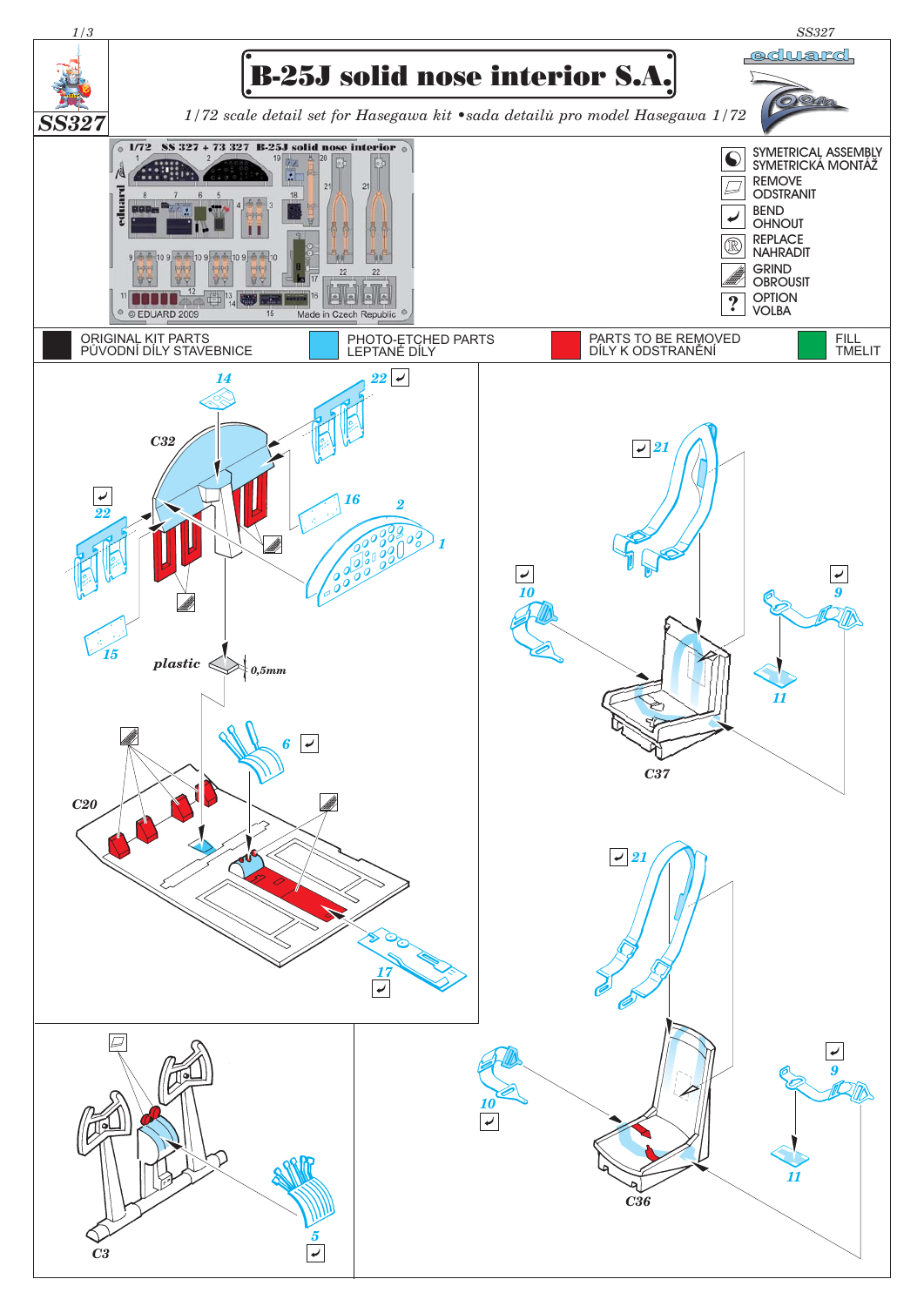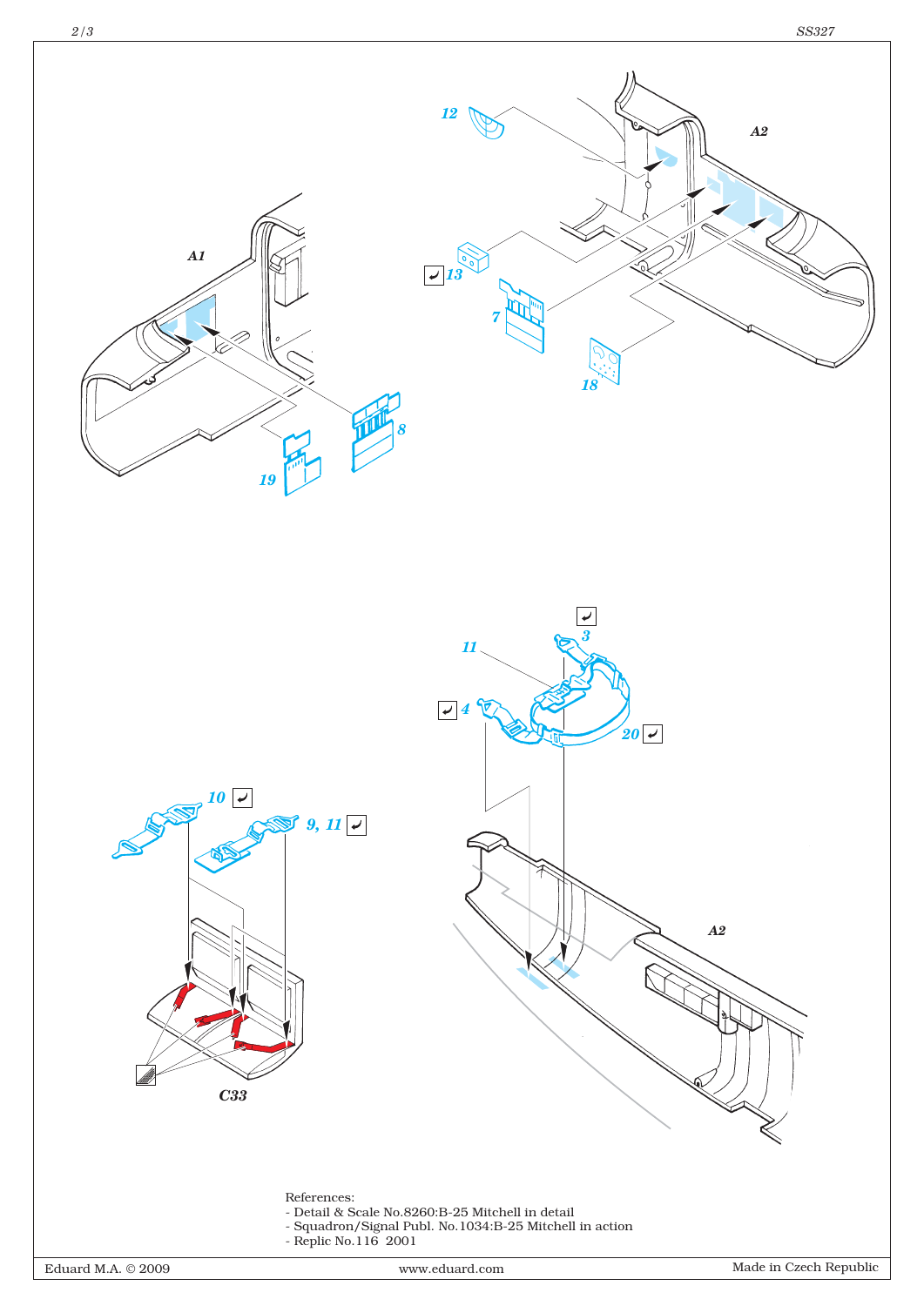